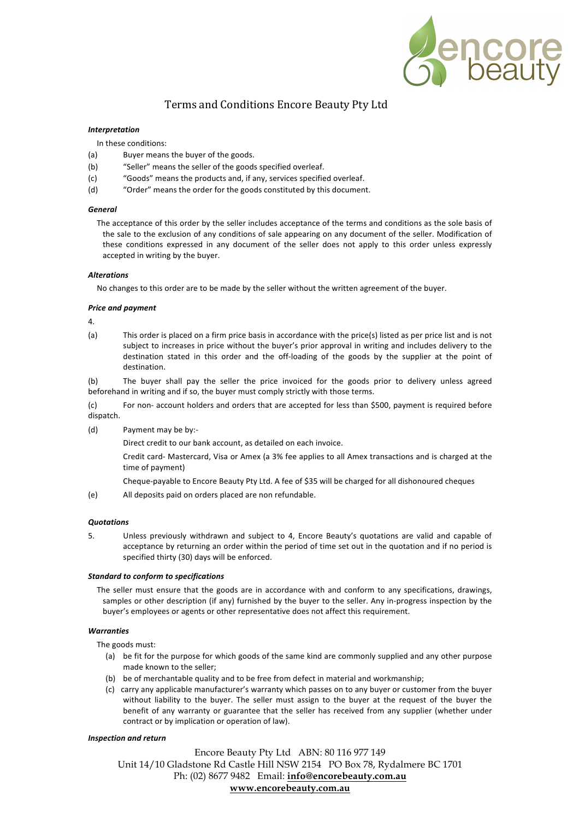

# Terms and Conditions Encore Beauty Pty Ltd

# *Interpretation*

In these conditions:

- (a) Buyer means the buyer of the goods.
- (b) "Seller" means the seller of the goods specified overleaf.
- (c) "Goods" means the products and, if any, services specified overleaf.
- (d) "Order" means the order for the goods constituted by this document.

## *General*

The acceptance of this order by the seller includes acceptance of the terms and conditions as the sole basis of the sale to the exclusion of any conditions of sale appearing on any document of the seller. Modification of these conditions expressed in any document of the seller does not apply to this order unless expressly accepted in writing by the buyer.

## *Alterations*

No changes to this order are to be made by the seller without the written agreement of the buyer.

#### *Price and payment*

4.

(a) This order is placed on a firm price basis in accordance with the price(s) listed as per price list and is not subject to increases in price without the buyer's prior approval in writing and includes delivery to the destination stated in this order and the off-loading of the goods by the supplier at the point of destination.

(b) The buyer shall pay the seller the price invoiced for the goods prior to delivery unless agreed beforehand in writing and if so, the buyer must comply strictly with those terms.

(c) For non- account holders and orders that are accepted for less than \$500, payment is required before dispatch.

(d) Payment may be by:-

Direct credit to our bank account, as detailed on each invoice.

Credit card- Mastercard, Visa or Amex (a 3% fee applies to all Amex transactions and is charged at the time of payment)

Cheque-payable to Encore Beauty Pty Ltd. A fee of \$35 will be charged for all dishonoured cheques

(e) All deposits paid on orders placed are non refundable.

## *Quotations*

5. Unless previously withdrawn and subject to 4, Encore Beauty's quotations are valid and capable of acceptance by returning an order within the period of time set out in the quotation and if no period is specified thirty (30) days will be enforced.

## *Standard to conform to specifications*

The seller must ensure that the goods are in accordance with and conform to any specifications, drawings, samples or other description (if any) furnished by the buyer to the seller. Any in-progress inspection by the buyer's employees or agents or other representative does not affect this requirement.

# *Warranties*

The goods must:

- (a) be fit for the purpose for which goods of the same kind are commonly supplied and any other purpose made known to the seller;
- (b) be of merchantable quality and to be free from defect in material and workmanship;
- (c) carry any applicable manufacturer's warranty which passes on to any buyer or customer from the buyer without liability to the buyer. The seller must assign to the buyer at the request of the buyer the benefit of any warranty or guarantee that the seller has received from any supplier (whether under contract or by implication or operation of law).

## *Inspection and return*

Encore Beauty Pty Ltd ABN: 80 116 977 149 Unit 14/10 Gladstone Rd Castle Hill NSW 2154 PO Box 78, Rydalmere BC 1701 Ph: (02) 8677 9482 Email: **info@encorebeauty.com.au www.encorebeauty.com.au**